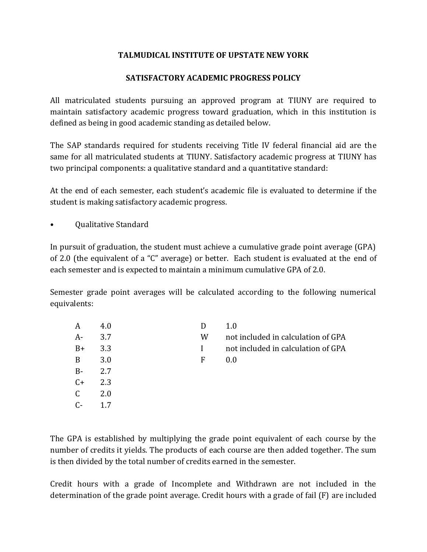## **TALMUDICAL INSTITUTE OF UPSTATE NEW YORK**

## **SATISFACTORY ACADEMIC PROGRESS POLICY**

All matriculated students pursuing an approved program at TIUNY are required to maintain satisfactory academic progress toward graduation, which in this institution is defined as being in good academic standing as detailed below.

The SAP standards required for students receiving Title IV federal financial aid are the same for all matriculated students at TIUNY. Satisfactory academic progress at TIUNY has two principal components: a qualitative standard and a quantitative standard:

At the end of each semester, each student's academic file is evaluated to determine if the student is making satisfactory academic progress.

• Qualitative Standard

In pursuit of graduation, the student must achieve a cumulative grade point average (GPA) of 2.0 (the equivalent of a "C" average) or better. Each student is evaluated at the end of each semester and is expected to maintain a minimum cumulative GPA of 2.0.

Semester grade point averages will be calculated according to the following numerical equivalents:

| A            | 4.0 |   | 1.0                                |
|--------------|-----|---|------------------------------------|
| $A-$         | 3.7 | W | not included in calculation of GPA |
| $B+$         | 3.3 |   | not included in calculation of GPA |
| B            | 3.0 | F | 0.0                                |
| $B -$        | 2.7 |   |                                    |
| $C+$         | 2.3 |   |                                    |
| $\mathsf{C}$ | 2.0 |   |                                    |
| $C-$         | 17  |   |                                    |

The GPA is established by multiplying the grade point equivalent of each course by the number of credits it yields. The products of each course are then added together. The sum is then divided by the total number of credits earned in the semester.

Credit hours with a grade of Incomplete and Withdrawn are not included in the determination of the grade point average. Credit hours with a grade of fail (F) are included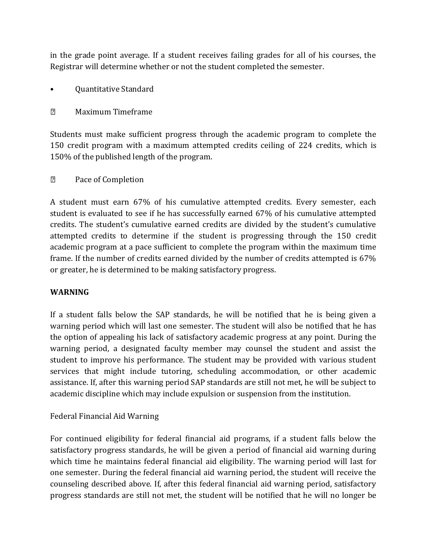in the grade point average. If a student receives failing grades for all of his courses, the Registrar will determine whether or not the student completed the semester.

• Quantitative Standard

 $\overline{2}$ Maximum Timeframe

Students must make sufficient progress through the academic program to complete the 150 credit program with a maximum attempted credits ceiling of 224 credits, which is 150% of the published length of the program.

#### $\sqrt{2}$ Pace of Completion

A student must earn 67% of his cumulative attempted credits. Every semester, each student is evaluated to see if he has successfully earned 67% of his cumulative attempted credits. The student's cumulative earned credits are divided by the student's cumulative attempted credits to determine if the student is progressing through the 150 credit academic program at a pace sufficient to complete the program within the maximum time frame. If the number of credits earned divided by the number of credits attempted is 67% or greater, he is determined to be making satisfactory progress.

# **WARNING**

If a student falls below the SAP standards, he will be notified that he is being given a warning period which will last one semester. The student will also be notified that he has the option of appealing his lack of satisfactory academic progress at any point. During the warning period, a designated faculty member may counsel the student and assist the student to improve his performance. The student may be provided with various student services that might include tutoring, scheduling accommodation, or other academic assistance. If, after this warning period SAP standards are still not met, he will be subject to academic discipline which may include expulsion or suspension from the institution.

# Federal Financial Aid Warning

For continued eligibility for federal financial aid programs, if a student falls below the satisfactory progress standards, he will be given a period of financial aid warning during which time he maintains federal financial aid eligibility. The warning period will last for one semester. During the federal financial aid warning period, the student will receive the counseling described above. If, after this federal financial aid warning period, satisfactory progress standards are still not met, the student will be notified that he will no longer be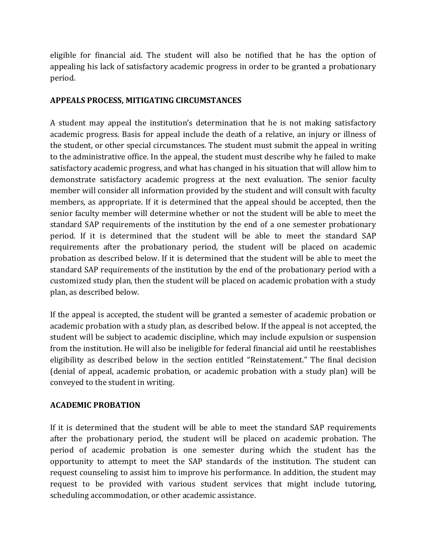eligible for financial aid. The student will also be notified that he has the option of appealing his lack of satisfactory academic progress in order to be granted a probationary period.

#### **APPEALS PROCESS, MITIGATING CIRCUMSTANCES**

A student may appeal the institution's determination that he is not making satisfactory academic progress. Basis for appeal include the death of a relative, an injury or illness of the student, or other special circumstances. The student must submit the appeal in writing to the administrative office. In the appeal, the student must describe why he failed to make satisfactory academic progress, and what has changed in his situation that will allow him to demonstrate satisfactory academic progress at the next evaluation. The senior faculty member will consider all information provided by the student and will consult with faculty members, as appropriate. If it is determined that the appeal should be accepted, then the senior faculty member will determine whether or not the student will be able to meet the standard SAP requirements of the institution by the end of a one semester probationary period. If it is determined that the student will be able to meet the standard SAP requirements after the probationary period, the student will be placed on academic probation as described below. If it is determined that the student will be able to meet the standard SAP requirements of the institution by the end of the probationary period with a customized study plan, then the student will be placed on academic probation with a study plan, as described below.

If the appeal is accepted, the student will be granted a semester of academic probation or academic probation with a study plan, as described below. If the appeal is not accepted, the student will be subject to academic discipline, which may include expulsion or suspension from the institution. He will also be ineligible for federal financial aid until he reestablishes eligibility as described below in the section entitled "Reinstatement." The final decision (denial of appeal, academic probation, or academic probation with a study plan) will be conveyed to the student in writing.

# **ACADEMIC PROBATION**

If it is determined that the student will be able to meet the standard SAP requirements after the probationary period, the student will be placed on academic probation. The period of academic probation is one semester during which the student has the opportunity to attempt to meet the SAP standards of the institution. The student can request counseling to assist him to improve his performance. In addition, the student may request to be provided with various student services that might include tutoring, scheduling accommodation, or other academic assistance.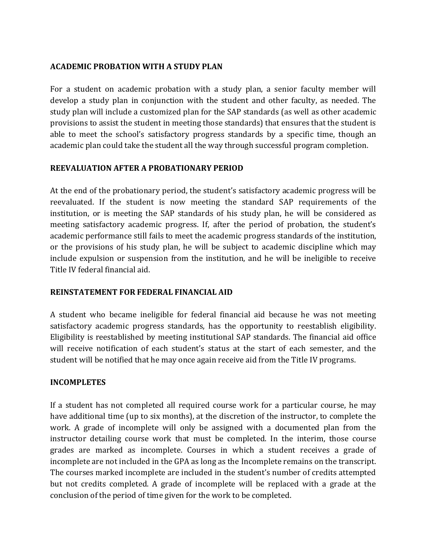# **ACADEMIC PROBATION WITH A STUDY PLAN**

For a student on academic probation with a study plan, a senior faculty member will develop a study plan in conjunction with the student and other faculty, as needed. The study plan will include a customized plan for the SAP standards (as well as other academic provisions to assist the student in meeting those standards) that ensures that the student is able to meet the school's satisfactory progress standards by a specific time, though an academic plan could take the student all the way through successful program completion.

## **REEVALUATION AFTER A PROBATIONARY PERIOD**

At the end of the probationary period, the student's satisfactory academic progress will be reevaluated. If the student is now meeting the standard SAP requirements of the institution, or is meeting the SAP standards of his study plan, he will be considered as meeting satisfactory academic progress. If, after the period of probation, the student's academic performance still fails to meet the academic progress standards of the institution, or the provisions of his study plan, he will be subject to academic discipline which may include expulsion or suspension from the institution, and he will be ineligible to receive Title IV federal financial aid.

#### **REINSTATEMENT FOR FEDERAL FINANCIAL AID**

A student who became ineligible for federal financial aid because he was not meeting satisfactory academic progress standards, has the opportunity to reestablish eligibility. Eligibility is reestablished by meeting institutional SAP standards. The financial aid office will receive notification of each student's status at the start of each semester, and the student will be notified that he may once again receive aid from the Title IV programs.

#### **INCOMPLETES**

If a student has not completed all required course work for a particular course, he may have additional time (up to six months), at the discretion of the instructor, to complete the work. A grade of incomplete will only be assigned with a documented plan from the instructor detailing course work that must be completed. In the interim, those course grades are marked as incomplete. Courses in which a student receives a grade of incomplete are not included in the GPA as long as the Incomplete remains on the transcript. The courses marked incomplete are included in the student's number of credits attempted but not credits completed. A grade of incomplete will be replaced with a grade at the conclusion of the period of time given for the work to be completed.